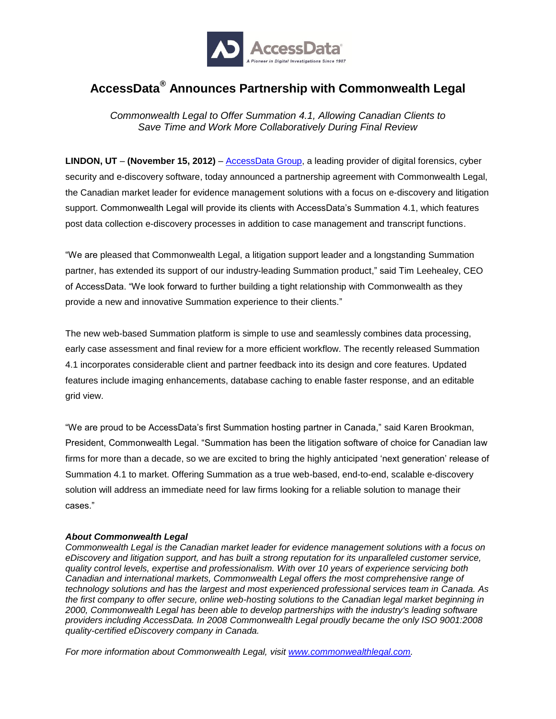

## **AccessData® Announces Partnership with Commonwealth Legal**

*Commonwealth Legal to Offer Summation 4.1, Allowing Canadian Clients to Save Time and Work More Collaboratively During Final Review*

**LINDON, UT** – **(November 15, 2012)** – [AccessData Group,](http://accessdata.com/) a leading provider of digital forensics, cyber security and e-discovery software, today announced a partnership agreement with Commonwealth Legal, the Canadian market leader for evidence management solutions with a focus on e-discovery and litigation support. Commonwealth Legal will provide its clients with AccessData's Summation 4.1, which features post data collection e-discovery processes in addition to case management and transcript functions.

"We are pleased that Commonwealth Legal, a litigation support leader and a longstanding Summation partner, has extended its support of our industry-leading Summation product," said Tim Leehealey, CEO of AccessData. "We look forward to further building a tight relationship with Commonwealth as they provide a new and innovative Summation experience to their clients."

The new web-based Summation platform is simple to use and seamlessly combines data processing, early case assessment and final review for a more efficient workflow. The recently released Summation 4.1 incorporates considerable client and partner feedback into its design and core features. Updated features include imaging enhancements, database caching to enable faster response, and an editable grid view.

"We are proud to be AccessData's first Summation hosting partner in Canada," said Karen Brookman, President, Commonwealth Legal. "Summation has been the litigation software of choice for Canadian law firms for more than a decade, so we are excited to bring the highly anticipated 'next generation' release of Summation 4.1 to market. Offering Summation as a true web-based, end-to-end, scalable e-discovery solution will address an immediate need for law firms looking for a reliable solution to manage their cases."

## *About Commonwealth Legal*

*Commonwealth Legal is the Canadian market leader for evidence management solutions with a focus on eDiscovery and litigation support, and has built a strong reputation for its unparalleled customer service, quality control levels, expertise and professionalism. With over 10 years of experience servicing both Canadian and international markets, Commonwealth Legal offers the most comprehensive range of technology solutions and has the largest and most experienced professional services team in Canada. As the first company to offer secure, online web-hosting solutions to the Canadian legal market beginning in 2000, Commonwealth Legal has been able to develop partnerships with the industry's leading software providers including AccessData. In 2008 Commonwealth Legal proudly became the only ISO 9001:2008 quality-certified eDiscovery company in Canada.*

*For more information about Commonwealth Legal, visit [www.commonwealthlegal.com.](http://www.commonwealthlegal.com/)*